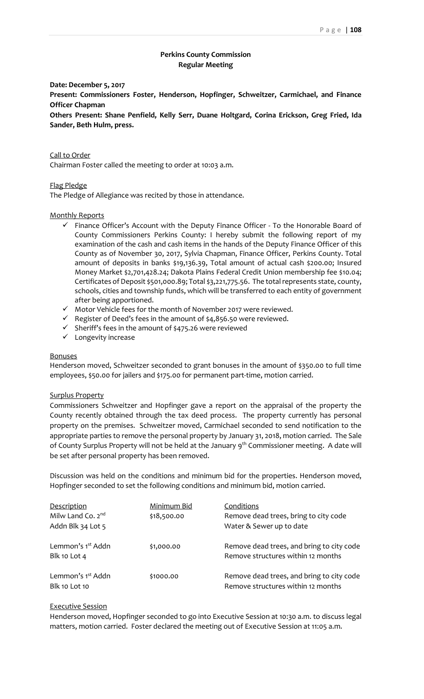# **Perkins County Commission Regular Meeting**

**Date: December 5, 2017**

**Present: Commissioners Foster, Henderson, Hopfinger, Schweitzer, Carmichael, and Finance Officer Chapman**

**Others Present: Shane Penfield, Kelly Serr, Duane Holtgard, Corina Erickson, Greg Fried, Ida Sander, Beth Hulm, press.**

Call to Order Chairman Foster called the meeting to order at 10:03 a.m.

### Flag Pledge

The Pledge of Allegiance was recited by those in attendance.

### Monthly Reports

- ✓ Finance Officer's Account with the Deputy Finance Officer To the Honorable Board of County Commissioners Perkins County: I hereby submit the following report of my examination of the cash and cash items in the hands of the Deputy Finance Officer of this County as of November 30, 2017, Sylvia Chapman, Finance Officer, Perkins County. Total amount of deposits in banks \$19,136.39, Total amount of actual cash \$200.00; Insured Money Market \$2,701,428.24; Dakota Plains Federal Credit Union membership fee \$10.04; Certificates of Deposit \$501,000.89; Total \$3,221,775.56. The total represents state, county, schools, cities and township funds, which will be transferred to each entity of government after being apportioned.
- ✓ Motor Vehicle fees for the month of November 2017 were reviewed.
- $\checkmark$  Register of Deed's fees in the amount of \$4,856.50 were reviewed.
- $\checkmark$  Sheriff's fees in the amount of \$475.26 were reviewed
- ✓ Longevity increase

## **Bonuses**

Henderson moved, Schweitzer seconded to grant bonuses in the amount of \$350.00 to full time employees, \$50.00 for jailers and \$175.00 for permanent part-time, motion carried.

### Surplus Property

Commissioners Schweitzer and Hopfinger gave a report on the appraisal of the property the County recently obtained through the tax deed process. The property currently has personal property on the premises. Schweitzer moved, Carmichael seconded to send notification to the appropriate parties to remove the personal property by January 31, 2018, motion carried. The Sale of County Surplus Property will not be held at the January 9<sup>th</sup> Commissioner meeting. A date will be set after personal property has been removed.

Discussion was held on the conditions and minimum bid for the properties. Henderson moved, Hopfinger seconded to set the following conditions and minimum bid, motion carried.

| Description                                           | Minimum Bid | Conditions                                                                      |
|-------------------------------------------------------|-------------|---------------------------------------------------------------------------------|
| Milw Land Co. 2 <sup>nd</sup>                         | \$18,500.00 | Remove dead trees, bring to city code                                           |
| Addn Blk 34 Lot 5                                     |             | Water & Sewer up to date                                                        |
| Lemmon's 1 <sup>st</sup> Addn<br>Blk 10 Lot 4         | \$1,000.00  | Remove dead trees, and bring to city code<br>Remove structures within 12 months |
| Lemmon's 1 <sup>st</sup> Addn<br><b>Blk 10 Lot 10</b> | \$1000.00   | Remove dead trees, and bring to city code<br>Remove structures within 12 months |

### Executive Session

Henderson moved, Hopfinger seconded to go into Executive Session at 10:30 a.m. to discuss legal matters, motion carried. Foster declared the meeting out of Executive Session at 11:05 a.m.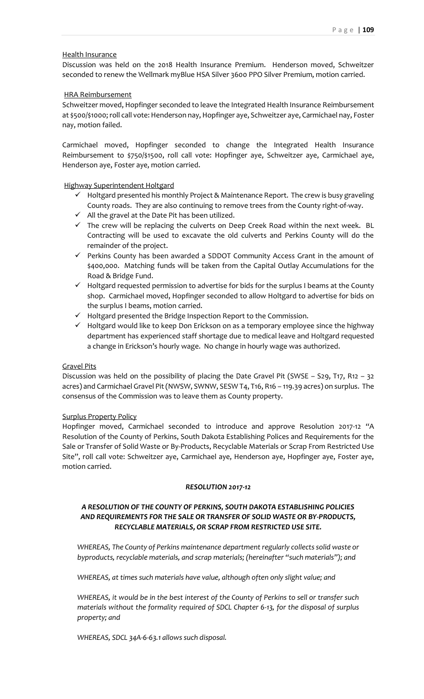## Health Insurance

Discussion was held on the 2018 Health Insurance Premium. Henderson moved, Schweitzer seconded to renew the Wellmark myBlue HSA Silver 3600 PPO Silver Premium, motion carried.

### HRA Reimbursement

Schweitzer moved, Hopfinger seconded to leave the Integrated Health Insurance Reimbursement at \$500/\$1000;roll call vote: Henderson nay, Hopfinger aye, Schweitzer aye, Carmichael nay, Foster nay, motion failed.

Carmichael moved, Hopfinger seconded to change the Integrated Health Insurance Reimbursement to \$750/\$1500, roll call vote: Hopfinger aye, Schweitzer aye, Carmichael aye, Henderson aye, Foster aye, motion carried.

Highway Superintendent Holtgard

- $\checkmark$  Holtgard presented his monthly Project & Maintenance Report. The crew is busy graveling County roads. They are also continuing to remove trees from the County right-of-way.
- $\checkmark$  All the gravel at the Date Pit has been utilized.
- $\checkmark$  The crew will be replacing the culverts on Deep Creek Road within the next week. BL Contracting will be used to excavate the old culverts and Perkins County will do the remainder of the project.
- ✓ Perkins County has been awarded a SDDOT Community Access Grant in the amount of \$400,000. Matching funds will be taken from the Capital Outlay Accumulations for the Road & Bridge Fund.
- $\checkmark$  Holtgard requested permission to advertise for bids for the surplus I beams at the County shop. Carmichael moved, Hopfinger seconded to allow Holtgard to advertise for bids on the surplus I beams, motion carried.
- ✓ Holtgard presented the Bridge Inspection Report to the Commission.
- $\checkmark$  Holtgard would like to keep Don Erickson on as a temporary employee since the highway department has experienced staff shortage due to medical leave and Holtgard requested a change in Erickson's hourly wage. No change in hourly wage was authorized.

## Gravel Pits

Discussion was held on the possibility of placing the Date Gravel Pit (SWSE – S29, T17, R12 – 32 acres) and Carmichael Gravel Pit (NWSW, SWNW, SESW T4, T16, R16 – 119.39 acres) on surplus. The consensus of the Commission was to leave them as County property.

### Surplus Property Policy

Hopfinger moved, Carmichael seconded to introduce and approve Resolution 2017-12 "A Resolution of the County of Perkins, South Dakota Establishing Polices and Requirements for the Sale or Transfer of Solid Waste or By-Products, Recyclable Materials or Scrap From Restricted Use Site", roll call vote: Schweitzer aye, Carmichael aye, Henderson aye, Hopfinger aye, Foster aye, motion carried.

## *RESOLUTION 2017-12*

# *A RESOLUTION OF THE COUNTY OF PERKINS, SOUTH DAKOTA ESTABLISHING POLICIES AND REQUIREMENTS FOR THE SALE OR TRANSFER OF SOLID WASTE OR BY-PRODUCTS, RECYCLABLE MATERIALS, OR SCRAP FROM RESTRICTED USE SITE.*

*WHEREAS, The County of Perkins maintenance department regularly collects solid waste or byproducts, recyclable materials, and scrap materials; (hereinafter "such materials"); and*

*WHEREAS, at times such materials have value, although often only slight value; and*

*WHEREAS, it would be in the best interest of the County of Perkins to sell or transfer such materials without the formality required of SDCL Chapter 6-13, for the disposal of surplus property; and*

*WHEREAS, SDCL 34A-6-63.1 allows such disposal.*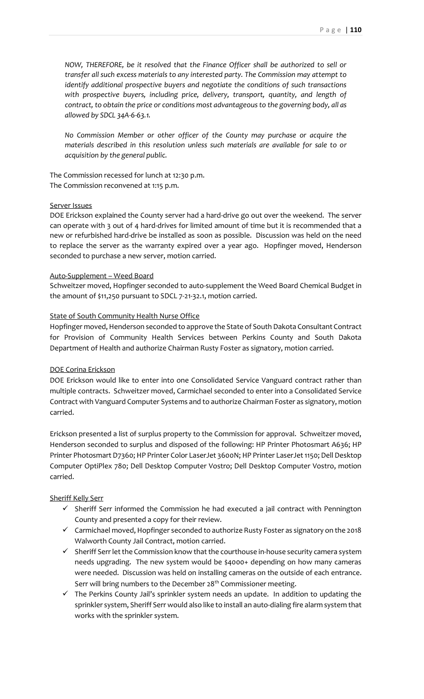*NOW, THEREFORE, be it resolved that the Finance Officer shall be authorized to sell or transfer all such excess materials to any interested party. The Commission may attempt to identify additional prospective buyers and negotiate the conditions of such transactions with prospective buyers, including price, delivery, transport, quantity, and length of contract, to obtain the price or conditions most advantageous to the governing body, all as allowed by SDCL 34A-6-63.1.*

*No Commission Member or other officer of the County may purchase or acquire the materials described in this resolution unless such materials are available for sale to or acquisition by the general public.*

The Commission recessed for lunch at 12:30 p.m. The Commission reconvened at 1:15 p.m.

### Server Issues

DOE Erickson explained the County server had a hard-drive go out over the weekend. The server can operate with 3 out of 4 hard-drives for limited amount of time but it is recommended that a new or refurbished hard-drive be installed as soon as possible. Discussion was held on the need to replace the server as the warranty expired over a year ago. Hopfinger moved, Henderson seconded to purchase a new server, motion carried.

### Auto-Supplement – Weed Board

Schweitzer moved, Hopfinger seconded to auto-supplement the Weed Board Chemical Budget in the amount of \$11,250 pursuant to SDCL 7-21-32.1, motion carried.

### State of South Community Health Nurse Office

Hopfinger moved, Henderson seconded to approve the State of South Dakota Consultant Contract for Provision of Community Health Services between Perkins County and South Dakota Department of Health and authorize Chairman Rusty Foster as signatory, motion carried.

## DOE Corina Erickson

DOE Erickson would like to enter into one Consolidated Service Vanguard contract rather than multiple contracts. Schweitzer moved, Carmichael seconded to enter into a Consolidated Service Contract with Vanguard Computer Systems and to authorize Chairman Foster as signatory, motion carried.

Erickson presented a list of surplus property to the Commission for approval. Schweitzer moved, Henderson seconded to surplus and disposed of the following: HP Printer Photosmart A636; HP Printer Photosmart D7360; HP Printer Color LaserJet 3600N; HP Printer LaserJet 1150; Dell Desktop Computer OptiPlex 780; Dell Desktop Computer Vostro; Dell Desktop Computer Vostro, motion carried.

# Sheriff Kelly Serr

- $\checkmark$  Sheriff Serr informed the Commission he had executed a jail contract with Pennington County and presented a copy for their review.
- ✓ Carmichael moved, Hopfinger seconded to authorize Rusty Foster as signatory on the 2018 Walworth County Jail Contract, motion carried.
- $\checkmark$  Sheriff Serr let the Commission know that the courthouse in-house security camera system needs upgrading. The new system would be \$4000+ depending on how many cameras were needed. Discussion was held on installing cameras on the outside of each entrance. Serr will bring numbers to the December 28<sup>th</sup> Commissioner meeting.
- $\checkmark$  The Perkins County Jail's sprinkler system needs an update. In addition to updating the sprinkler system, Sheriff Serr would also like to install an auto-dialing fire alarm system that works with the sprinkler system.